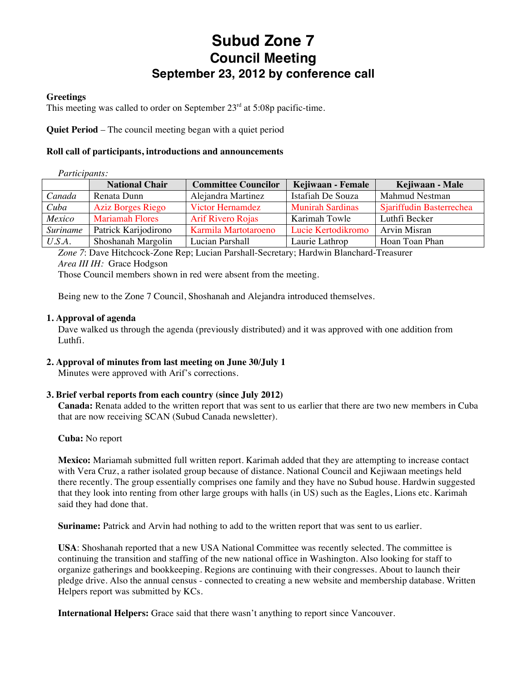# **Subud Zone 7 Council Meeting September 23, 2012 by conference call**

#### **Greetings**

This meeting was called to order on September  $23<sup>rd</sup>$  at 5:08p pacific-time.

**Quiet Period** – The council meeting began with a quiet period

#### **Roll call of participants, introductions and announcements**

#### *Participants:*

|          | <b>National Chair</b>    | <b>Committee Councilor</b> | Kejiwaan - Female       | Kejiwaan - Male          |
|----------|--------------------------|----------------------------|-------------------------|--------------------------|
| Canada   | Renata Dunn              | Alejandra Martinez         | Istafiah De Souza       | Mahmud Nestman           |
| Cuba     | <b>Aziz Borges Riego</b> | <b>Victor Hernamdez</b>    | <b>Munirah Sardinas</b> | Sjariffudin Basterrechea |
| Mexico   | <b>Mariamah Flores</b>   | <b>Arif Rivero Rojas</b>   | Karimah Towle           | Luthfi Becker            |
| Suriname | Patrick Karijodirono     | Karmila Martotaroeno       | Lucie Kertodikromo      | <b>Arvin Misran</b>      |
| U.S.A.   | Shoshanah Margolin       | Lucian Parshall            | Laurie Lathrop          | Hoan Toan Phan           |

*Zone 7*: Dave Hitchcock-Zone Rep; Lucian Parshall-Secretary; Hardwin Blanchard-Treasurer *Area III IH:* Grace Hodgson

Those Council members shown in red were absent from the meeting.

Being new to the Zone 7 Council, Shoshanah and Alejandra introduced themselves.

#### **1. Approval of agenda**

Dave walked us through the agenda (previously distributed) and it was approved with one addition from Luthfi.

#### **2. Approval of minutes from last meeting on June 30/July 1**

Minutes were approved with Arif's corrections.

#### **3. Brief verbal reports from each country (since July 2012)**

**Canada:** Renata added to the written report that was sent to us earlier that there are two new members in Cuba that are now receiving SCAN (Subud Canada newsletter).

#### **Cuba:** No report

**Mexico:** Mariamah submitted full written report. Karimah added that they are attempting to increase contact with Vera Cruz, a rather isolated group because of distance. National Council and Kejiwaan meetings held there recently. The group essentially comprises one family and they have no Subud house. Hardwin suggested that they look into renting from other large groups with halls (in US) such as the Eagles, Lions etc. Karimah said they had done that.

**Suriname:** Patrick and Arvin had nothing to add to the written report that was sent to us earlier.

**USA**: Shoshanah reported that a new USA National Committee was recently selected. The committee is continuing the transition and staffing of the new national office in Washington. Also looking for staff to organize gatherings and bookkeeping. Regions are continuing with their congresses. About to launch their pledge drive. Also the annual census - connected to creating a new website and membership database. Written Helpers report was submitted by KCs.

**International Helpers:** Grace said that there wasn't anything to report since Vancouver.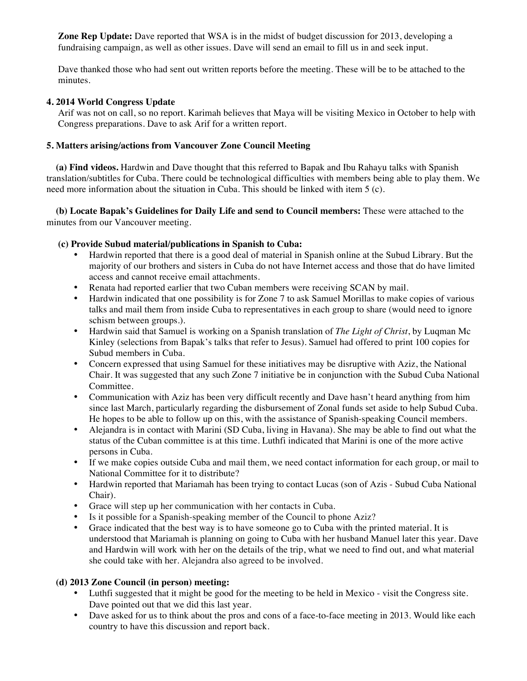**Zone Rep Update:** Dave reported that WSA is in the midst of budget discussion for 2013, developing a fundraising campaign, as well as other issues. Dave will send an email to fill us in and seek input.

Dave thanked those who had sent out written reports before the meeting. These will be to be attached to the minutes.

#### **4. 2014 World Congress Update**

Arif was not on call, so no report. Karimah believes that Maya will be visiting Mexico in October to help with Congress preparations. Dave to ask Arif for a written report.

#### **5. Matters arising/actions from Vancouver Zone Council Meeting**

 **(a) Find videos.** Hardwin and Dave thought that this referred to Bapak and Ibu Rahayu talks with Spanish translation/subtitles for Cuba. There could be technological difficulties with members being able to play them. We need more information about the situation in Cuba. This should be linked with item 5 (c).

 **(b) Locate Bapak's Guidelines for Daily Life and send to Council members:** These were attached to the minutes from our Vancouver meeting.

#### **(c) Provide Subud material/publications in Spanish to Cuba:**

- Hardwin reported that there is a good deal of material in Spanish online at the Subud Library. But the majority of our brothers and sisters in Cuba do not have Internet access and those that do have limited access and cannot receive email attachments.
- Renata had reported earlier that two Cuban members were receiving SCAN by mail.
- Hardwin indicated that one possibility is for Zone 7 to ask Samuel Morillas to make copies of various talks and mail them from inside Cuba to representatives in each group to share (would need to ignore schism between groups.).
- Hardwin said that Samuel is working on a Spanish translation of *The Light of Christ*, by Luqman Mc Kinley (selections from Bapak's talks that refer to Jesus). Samuel had offered to print 100 copies for Subud members in Cuba.
- Concern expressed that using Samuel for these initiatives may be disruptive with Aziz, the National Chair. It was suggested that any such Zone 7 initiative be in conjunction with the Subud Cuba National Committee.
- Communication with Aziz has been very difficult recently and Dave hasn't heard anything from him since last March, particularly regarding the disbursement of Zonal funds set aside to help Subud Cuba. He hopes to be able to follow up on this, with the assistance of Spanish-speaking Council members.
- Alejandra is in contact with Marini (SD Cuba, living in Havana). She may be able to find out what the status of the Cuban committee is at this time. Luthfi indicated that Marini is one of the more active persons in Cuba.
- If we make copies outside Cuba and mail them, we need contact information for each group, or mail to National Committee for it to distribute?
- Hardwin reported that Mariamah has been trying to contact Lucas (son of Azis Subud Cuba National Chair).
- Grace will step up her communication with her contacts in Cuba.
- Is it possible for a Spanish-speaking member of the Council to phone Aziz?
- Grace indicated that the best way is to have someone go to Cuba with the printed material. It is understood that Mariamah is planning on going to Cuba with her husband Manuel later this year. Dave and Hardwin will work with her on the details of the trip, what we need to find out, and what material she could take with her. Alejandra also agreed to be involved.

#### **(d) 2013 Zone Council (in person) meeting:**

- Luthfi suggested that it might be good for the meeting to be held in Mexico visit the Congress site. Dave pointed out that we did this last year.
- Dave asked for us to think about the pros and cons of a face-to-face meeting in 2013. Would like each country to have this discussion and report back.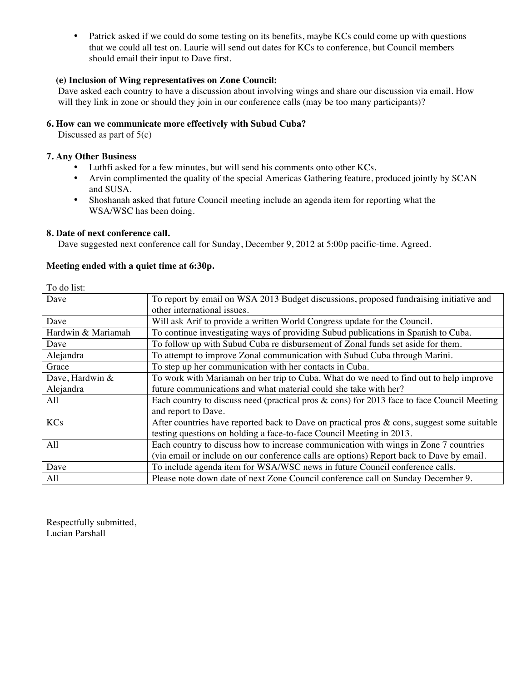• Patrick asked if we could do some testing on its benefits, maybe KCs could come up with questions that we could all test on. Laurie will send out dates for KCs to conference, but Council members should email their input to Dave first.

#### **(e) Inclusion of Wing representatives on Zone Council:**

Dave asked each country to have a discussion about involving wings and share our discussion via email. How will they link in zone or should they join in our conference calls (may be too many participants)?

#### **6. How can we communicate more effectively with Subud Cuba?**

Discussed as part of  $5(c)$ 

#### **7. Any Other Business**

- Luthfi asked for a few minutes, but will send his comments onto other KCs.
- Arvin complimented the quality of the special Americas Gathering feature, produced jointly by SCAN and SUSA.
- Shoshanah asked that future Council meeting include an agenda item for reporting what the WSA/WSC has been doing.

#### **8. Date of next conference call.**

Dave suggested next conference call for Sunday, December 9, 2012 at 5:00p pacific-time. Agreed.

#### **Meeting ended with a quiet time at 6:30p.**

To do list:

| Dave               | To report by email on WSA 2013 Budget discussions, proposed fundraising initiative and        |  |
|--------------------|-----------------------------------------------------------------------------------------------|--|
|                    | other international issues.                                                                   |  |
| Dave               | Will ask Arif to provide a written World Congress update for the Council.                     |  |
| Hardwin & Mariamah | To continue investigating ways of providing Subud publications in Spanish to Cuba.            |  |
| Dave               | To follow up with Subud Cuba re disbursement of Zonal funds set aside for them.               |  |
| Alejandra          | To attempt to improve Zonal communication with Subud Cuba through Marini.                     |  |
| Grace              | To step up her communication with her contacts in Cuba.                                       |  |
| Dave, Hardwin &    | To work with Mariamah on her trip to Cuba. What do we need to find out to help improve        |  |
| Alejandra          | future communications and what material could she take with her?                              |  |
| All                | Each country to discuss need (practical pros $\&$ cons) for 2013 face to face Council Meeting |  |
|                    | and report to Dave.                                                                           |  |
| <b>KCs</b>         | After countries have reported back to Dave on practical pros $\&$ cons, suggest some suitable |  |
|                    | testing questions on holding a face-to-face Council Meeting in 2013.                          |  |
| All                | Each country to discuss how to increase communication with wings in Zone 7 countries          |  |
|                    | (via email or include on our conference calls are options) Report back to Dave by email.      |  |
| Dave               | To include agenda item for WSA/WSC news in future Council conference calls.                   |  |
| All                | Please note down date of next Zone Council conference call on Sunday December 9.              |  |

Respectfully submitted, Lucian Parshall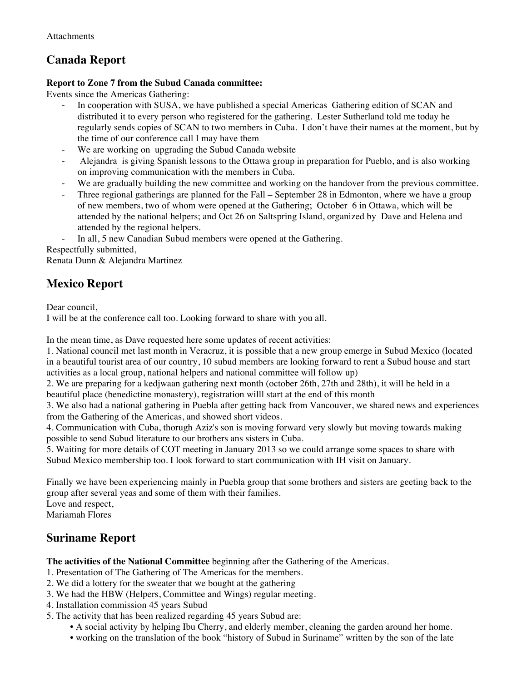# **Canada Report**

### **Report to Zone 7 from the Subud Canada committee:**

Events since the Americas Gathering:

- In cooperation with SUSA, we have published a special Americas Gathering edition of SCAN and distributed it to every person who registered for the gathering. Lester Sutherland told me today he regularly sends copies of SCAN to two members in Cuba. I don't have their names at the moment, but by the time of our conference call I may have them
- We are working on upgrading the Subud Canada website
- Alejandra is giving Spanish lessons to the Ottawa group in preparation for Pueblo, and is also working on improving communication with the members in Cuba.
- We are gradually building the new committee and working on the handover from the previous committee.
- Three regional gatherings are planned for the Fall September 28 in Edmonton, where we have a group of new members, two of whom were opened at the Gathering; October 6 in Ottawa, which will be attended by the national helpers; and Oct 26 on Saltspring Island, organized by Dave and Helena and attended by the regional helpers.

In all, 5 new Canadian Subud members were opened at the Gathering.

Respectfully submitted,

Renata Dunn & Alejandra Martinez

## **Mexico Report**

Dear council,

I will be at the conference call too. Looking forward to share with you all.

In the mean time, as Dave requested here some updates of recent activities:

1. National council met last month in Veracruz, it is possible that a new group emerge in Subud Mexico (located in a beautiful tourist area of our country, 10 subud members are looking forward to rent a Subud house and start activities as a local group, national helpers and national committee will follow up)

2. We are preparing for a kedjwaan gathering next month (october 26th, 27th and 28th), it will be held in a beautiful place (benedictine monastery), registration willl start at the end of this month

3. We also had a national gathering in Puebla after getting back from Vancouver, we shared news and experiences from the Gathering of the Americas, and showed short videos.

4. Communication with Cuba, thorugh Aziz's son is moving forward very slowly but moving towards making possible to send Subud literature to our brothers ans sisters in Cuba.

5. Waiting for more details of COT meeting in January 2013 so we could arrange some spaces to share with Subud Mexico membership too. I look forward to start communication with IH visit on January.

Finally we have been experiencing mainly in Puebla group that some brothers and sisters are geeting back to the group after several yeas and some of them with their families. Love and respect,

Mariamah Flores

## **Suriname Report**

**The activities of the National Committee** beginning after the Gathering of the Americas.

- 1. Presentation of The Gathering of The Americas for the members.
- 2. We did a lottery for the sweater that we bought at the gathering
- 3. We had the HBW (Helpers, Committee and Wings) regular meeting.
- 4. Installation commission 45 years Subud
- 5. The activity that has been realized regarding 45 years Subud are:
	- A social activity by helping Ibu Cherry, and elderly member, cleaning the garden around her home.
	- working on the translation of the book "history of Subud in Suriname" written by the son of the late